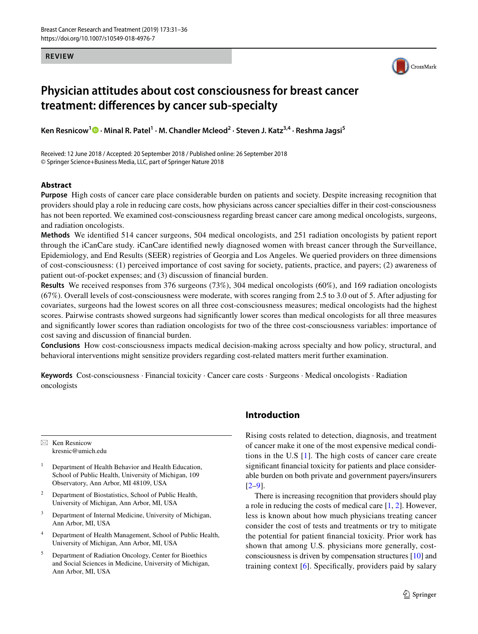#### **REVIEW**



# **Physician attitudes about cost consciousness for breast cancer treatment: differences by cancer sub-specialty**

**Ken Resnicow<sup>1</sup> · Minal R. Patel1 · M. Chandler Mcleod2 · Steven J. Katz3,4 · Reshma Jagsi5**

Received: 12 June 2018 / Accepted: 20 September 2018 / Published online: 26 September 2018 © Springer Science+Business Media, LLC, part of Springer Nature 2018

#### **Abstract**

**Purpose** High costs of cancer care place considerable burden on patients and society. Despite increasing recognition that providers should play a role in reducing care costs, how physicians across cancer specialties differ in their cost-consciousness has not been reported. We examined cost-consciousness regarding breast cancer care among medical oncologists, surgeons, and radiation oncologists.

**Methods** We identified 514 cancer surgeons, 504 medical oncologists, and 251 radiation oncologists by patient report through the iCanCare study. iCanCare identified newly diagnosed women with breast cancer through the Surveillance, Epidemiology, and End Results (SEER) registries of Georgia and Los Angeles. We queried providers on three dimensions of cost-consciousness: (1) perceived importance of cost saving for society, patients, practice, and payers; (2) awareness of patient out-of-pocket expenses; and (3) discussion of financial burden.

**Results** We received responses from 376 surgeons (73%), 304 medical oncologists (60%), and 169 radiation oncologists (67%). Overall levels of cost-consciousness were moderate, with scores ranging from 2.5 to 3.0 out of 5. After adjusting for covariates, surgeons had the lowest scores on all three cost-consciousness measures; medical oncologists had the highest scores. Pairwise contrasts showed surgeons had significantly lower scores than medical oncologists for all three measures and significantly lower scores than radiation oncologists for two of the three cost-consciousness variables: importance of cost saving and discussion of financial burden.

**Conclusions** How cost-consciousness impacts medical decision-making across specialty and how policy, structural, and behavioral interventions might sensitize providers regarding cost-related matters merit further examination.

**Keywords** Cost-consciousness · Financial toxicity · Cancer care costs · Surgeons · Medical oncologists · Radiation oncologists

 $\boxtimes$  Ken Resnicow kresnic@umich.edu

- <sup>1</sup> Department of Health Behavior and Health Education, School of Public Health, University of Michigan, 109 Observatory, Ann Arbor, MI 48109, USA
- <sup>2</sup> Department of Biostatistics, School of Public Health, University of Michigan, Ann Arbor, MI, USA
- <sup>3</sup> Department of Internal Medicine, University of Michigan, Ann Arbor, MI, USA
- <sup>4</sup> Department of Health Management, School of Public Health, University of Michigan, Ann Arbor, MI, USA
- <sup>5</sup> Department of Radiation Oncology, Center for Bioethics and Social Sciences in Medicine, University of Michigan, Ann Arbor, MI, USA

# **Introduction**

Rising costs related to detection, diagnosis, and treatment of cancer make it one of the most expensive medical conditions in the U.S [[1\]](#page-5-0). The high costs of cancer care create significant financial toxicity for patients and place considerable burden on both private and government payers/insurers [[2–](#page-5-1)[9\]](#page-5-2).

There is increasing recognition that providers should play a role in reducing the costs of medical care [[1,](#page-5-0) [2\]](#page-5-1). However, less is known about how much physicians treating cancer consider the cost of tests and treatments or try to mitigate the potential for patient financial toxicity. Prior work has shown that among U.S. physicians more generally, costconsciousness is driven by compensation structures [\[10](#page-5-3)] and training context [\[6\]](#page-5-4). Specifically, providers paid by salary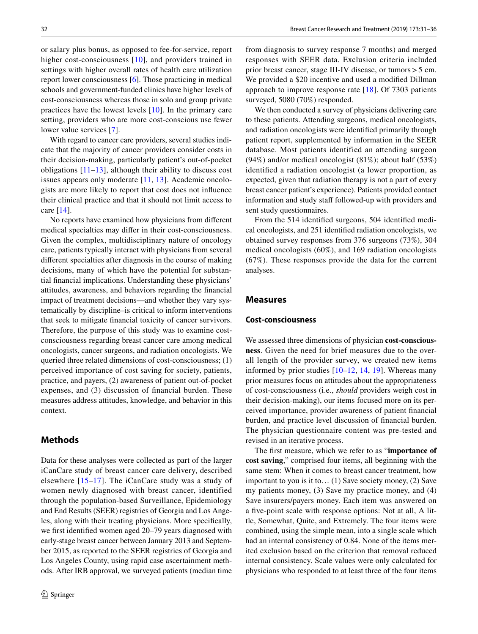or salary plus bonus, as opposed to fee-for-service, report higher cost-consciousness [[10](#page-5-3)], and providers trained in settings with higher overall rates of health care utilization report lower consciousness [[6\]](#page-5-4). Those practicing in medical schools and government-funded clinics have higher levels of cost-consciousness whereas those in solo and group private practices have the lowest levels [[10](#page-5-3)]. In the primary care setting, providers who are more cost-conscious use fewer lower value services [[7\]](#page-5-5).

With regard to cancer care providers, several studies indicate that the majority of cancer providers consider costs in their decision-making, particularly patient's out-of-pocket obligations  $[11-13]$  $[11-13]$  $[11-13]$ , although their ability to discuss cost issues appears only moderate [\[11,](#page-5-6) [13](#page-5-7)]. Academic oncologists are more likely to report that cost does not influence their clinical practice and that it should not limit access to care [[14\]](#page-5-8).

No reports have examined how physicians from different medical specialties may differ in their cost-consciousness. Given the complex, multidisciplinary nature of oncology care, patients typically interact with physicians from several different specialties after diagnosis in the course of making decisions, many of which have the potential for substantial financial implications. Understanding these physicians' attitudes, awareness, and behaviors regarding the financial impact of treatment decisions—and whether they vary systematically by discipline–is critical to inform interventions that seek to mitigate financial toxicity of cancer survivors. Therefore, the purpose of this study was to examine costconsciousness regarding breast cancer care among medical oncologists, cancer surgeons, and radiation oncologists. We queried three related dimensions of cost-consciousness; (1) perceived importance of cost saving for society, patients, practice, and payers, (2) awareness of patient out-of-pocket expenses, and (3) discussion of financial burden. These measures address attitudes, knowledge, and behavior in this context.

### **Methods**

Data for these analyses were collected as part of the larger iCanCare study of breast cancer care delivery, described elsewhere [[15–](#page-5-9)[17](#page-5-10)]. The iCanCare study was a study of women newly diagnosed with breast cancer, identified through the population-based Surveillance, Epidemiology and End Results (SEER) registries of Georgia and Los Angeles, along with their treating physicians. More specifically, we first identified women aged 20–79 years diagnosed with early-stage breast cancer between January 2013 and September 2015, as reported to the SEER registries of Georgia and Los Angeles County, using rapid case ascertainment methods. After IRB approval, we surveyed patients (median time from diagnosis to survey response 7 months) and merged responses with SEER data. Exclusion criteria included prior breast cancer, stage III-IV disease, or tumors>5 cm. We provided a \$20 incentive and used a modified Dillman approach to improve response rate [\[18\]](#page-5-11). Of 7303 patients surveyed, 5080 (70%) responded.

We then conducted a survey of physicians delivering care to these patients. Attending surgeons, medical oncologists, and radiation oncologists were identified primarily through patient report, supplemented by information in the SEER database. Most patients identified an attending surgeon (94%) and/or medical oncologist (81%); about half (53%) identified a radiation oncologist (a lower proportion, as expected, given that radiation therapy is not a part of every breast cancer patient's experience). Patients provided contact information and study staff followed-up with providers and sent study questionnaires.

From the 514 identified surgeons, 504 identified medical oncologists, and 251 identified radiation oncologists, we obtained survey responses from 376 surgeons (73%), 304 medical oncologists (60%), and 169 radiation oncologists (67%). These responses provide the data for the current analyses.

#### **Measures**

#### **Cost‑consciousness**

We assessed three dimensions of physician **cost-consciousness**. Given the need for brief measures due to the overall length of the provider survey, we created new items informed by prior studies [\[10–](#page-5-3)[12,](#page-5-12) [14,](#page-5-8) [19](#page-5-13)]. Whereas many prior measures focus on attitudes about the appropriateness of cost-consciousness (i.e., *should* providers weigh cost in their decision-making), our items focused more on its perceived importance, provider awareness of patient financial burden, and practice level discussion of financial burden. The physician questionnaire content was pre-tested and revised in an iterative process.

The first measure, which we refer to as "**importance of cost saving**," comprised four items, all beginning with the same stem: When it comes to breast cancer treatment, how important to you is it to… (1) Save society money, (2) Save my patients money, (3) Save my practice money, and (4) Save insurers/payers money. Each item was answered on a five-point scale with response options: Not at all, A little, Somewhat, Quite, and Extremely. The four items were combined, using the simple mean, into a single scale which had an internal consistency of 0.84. None of the items merited exclusion based on the criterion that removal reduced internal consistency. Scale values were only calculated for physicians who responded to at least three of the four items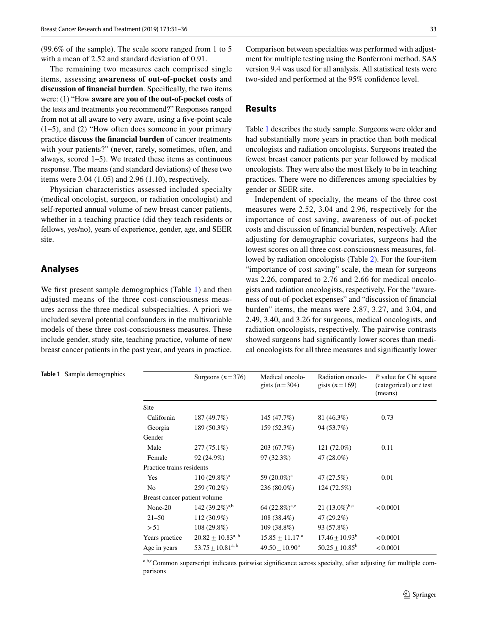(99.6% of the sample). The scale score ranged from 1 to 5 with a mean of 2.52 and standard deviation of 0.91.

The remaining two measures each comprised single items, assessing **awareness of out-of-pocket costs** and **discussion of financial burden**. Specifically, the two items were: (1) "How **aware are you of the out-of-pocket costs** of the tests and treatments you recommend?" Responses ranged from not at all aware to very aware, using a five-point scale (1–5), and (2) "How often does someone in your primary practice **discuss the financial burden** of cancer treatments with your patients?" (never, rarely, sometimes, often, and always, scored 1–5). We treated these items as continuous response. The means (and standard deviations) of these two items were 3.04 (1.05) and 2.96 (1.10), respectively.

Physician characteristics assessed included specialty (medical oncologist, surgeon, or radiation oncologist) and self-reported annual volume of new breast cancer patients, whether in a teaching practice (did they teach residents or fellows, yes/no), years of experience, gender, age, and SEER site.

#### **Analyses**

We first present sample demographics (Table [1](#page-2-0)) and then adjusted means of the three cost-consciousness measures across the three medical subspecialties. A priori we included several potential confounders in the multivariable models of these three cost-consciousness measures. These include gender, study site, teaching practice, volume of new breast cancer patients in the past year, and years in practice.

<span id="page-2-0"></span>**Table 1** Sample demographics

Comparison between specialties was performed with adjustment for multiple testing using the Bonferroni method. SAS version 9.4 was used for all analysis. All statistical tests were two-sided and performed at the 95% confidence level.

# **Results**

Table [1](#page-2-0) describes the study sample. Surgeons were older and had substantially more years in practice than both medical oncologists and radiation oncologists. Surgeons treated the fewest breast cancer patients per year followed by medical oncologists. They were also the most likely to be in teaching practices. There were no differences among specialties by gender or SEER site.

Independent of specialty, the means of the three cost measures were 2.52, 3.04 and 2.96, respectively for the importance of cost saving, awareness of out-of-pocket costs and discussion of financial burden, respectively. After adjusting for demographic covariates, surgeons had the lowest scores on all three cost-consciousness measures, followed by radiation oncologists (Table [2](#page-3-0)). For the four-item "importance of cost saving" scale, the mean for surgeons was 2.26, compared to 2.76 and 2.66 for medical oncologists and radiation oncologists, respectively. For the "awareness of out-of-pocket expenses" and "discussion of financial burden" items, the means were 2.87, 3.27, and 3.04, and 2.49, 3.40, and 3.26 for surgeons, medical oncologists, and radiation oncologists, respectively. The pairwise contrasts showed surgeons had significantly lower scores than medical oncologists for all three measures and significantly lower

|                              | Surgeons $(n=376)$       | Medical oncolo-<br>gists $(n=304)$ | Radiation oncolo-<br>gists $(n=169)$ | P value for Chi square<br>(categorical) or $t$ test<br>(means) |
|------------------------------|--------------------------|------------------------------------|--------------------------------------|----------------------------------------------------------------|
| Site                         |                          |                                    |                                      |                                                                |
| California                   | 187 (49.7%)              | 145 (47.7%)                        | 81 (46.3%)                           | 0.73                                                           |
| Georgia                      | 189 (50.3%)              | 159 (52.3%)                        | 94 (53.7%)                           |                                                                |
| Gender                       |                          |                                    |                                      |                                                                |
| Male                         | 277 (75.1%)              | 203 (67.7%)                        | 121 (72.0%)                          | 0.11                                                           |
| Female                       | 92 (24.9%)               | 97(32.3%)                          | 47 (28.0%)                           |                                                                |
| Practice trains residents    |                          |                                    |                                      |                                                                |
| Yes                          | $110(29.8\%)^a$          | 59 $(20.0\%)^a$                    | 47 (27.5%)                           | 0.01                                                           |
| N <sub>0</sub>               | 259 (70.2%)              | 236 (80.0%)                        | 124 (72.5%)                          |                                                                |
| Breast cancer patient volume |                          |                                    |                                      |                                                                |
| None-20                      | 142 $(39.2\%)^{a,b}$     | 64 $(22.8\%)$ <sup>a,c</sup>       | 21 $(13.0\%)^{\rm b,c}$              | < 0.0001                                                       |
| $21 - 50$                    | 112 (30.9%)              | $108(38.4\%)$                      | 47 (29.2%)                           |                                                                |
| > 51                         | $108(29.8\%)$            | 109 (38.8%)                        | 93 (57.8%)                           |                                                                |
| Years practice               | $20.82 \pm 10.83^{a, b}$ | $15.85 \pm 11.17$ <sup>a</sup>     | $17.46 \pm 10.93^b$                  | < 0.0001                                                       |
| Age in years                 | $53.75 \pm 10.81^{a, b}$ | $49.50 + 10.90^{\circ}$            | $50.25 + 10.85^b$                    | < 0.0001                                                       |

a,b,cCommon superscript indicates pairwise significance across specialty, after adjusting for multiple comparisons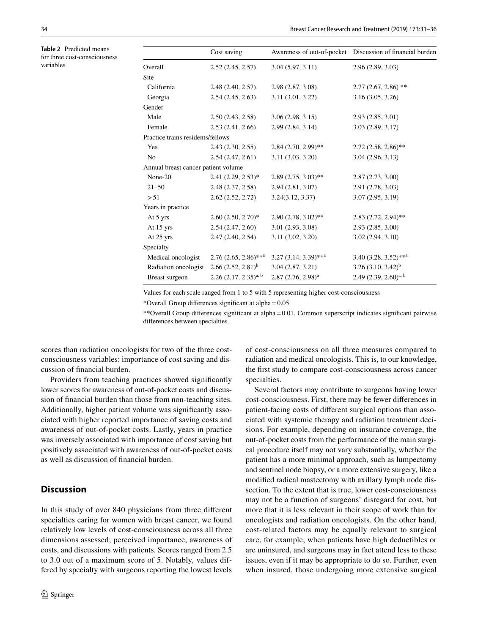<span id="page-3-0"></span>**Table 2** Predicted means for three cost-consciousness variables

|                                     | Cost saving                        |                                    | Awareness of out-of-pocket Discussion of financial burden |
|-------------------------------------|------------------------------------|------------------------------------|-----------------------------------------------------------|
| Overall                             | 2.52(2.45, 2.57)                   | 3.04(5.97, 3.11)                   | 2.96(2.89, 3.03)                                          |
| Site                                |                                    |                                    |                                                           |
| California                          | 2.48(2.40, 2.57)                   | 2.98(2.87, 3.08)                   | $2.77(2.67, 2.86)$ **                                     |
| Georgia                             | 2.54(2.45, 2.63)                   | 3.11 (3.01, 3.22)                  | 3.16(3.05, 3.26)                                          |
| Gender                              |                                    |                                    |                                                           |
| Male                                | 2.50(2.43, 2.58)                   | 3.06(2.98, 3.15)                   | 2.93(2.85, 3.01)                                          |
| Female                              | 2.53(2.41, 2.66)                   | 2.99 (2.84, 3.14)                  | 3.03(2.89, 3.17)                                          |
| Practice trains residents/fellows   |                                    |                                    |                                                           |
| Yes                                 | 2.43(2.30, 2.55)                   | $2.84(2.70, 2.99)$ **              | $2.72(2.58, 2.86)$ **                                     |
| N <sub>0</sub>                      | 2.54(2.47, 2.61)                   | 3.11 (3.03, 3.20)                  | 3.04(2.96, 3.13)                                          |
| Annual breast cancer patient volume |                                    |                                    |                                                           |
| None-20                             | $2.41$ (2.29, 2.53)*               | $2.89(2.75, 3.03)$ **              | 2.87(2.73, 3.00)                                          |
| $21 - 50$                           | 2.48(2.37, 2.58)                   | 2.94(2.81, 3.07)                   | 2.91 (2.78, 3.03)                                         |
| > 51                                | 2.62(2.52, 2.72)                   | 3.24(3.12, 3.37)                   | 3.07(2.95, 3.19)                                          |
| Years in practice                   |                                    |                                    |                                                           |
| At 5 yrs                            | $2.60(2.50, 2.70)$ *               | $2.90(2.78, 3.02)$ **              | $2.83$ (2.72, 2.94)**                                     |
| At $15$ yrs                         | 2.54(2.47, 2.60)                   | 3.01 (2.93, 3.08)                  | 2.93(2.85, 3.00)                                          |
| At $25$ yrs                         | 2.47(2.40, 2.54)                   | 3.11(3.02, 3.20)                   | 3.02(2.94, 3.10)                                          |
| Specialty                           |                                    |                                    |                                                           |
| Medical oncologist                  | $2.76(2.65, 2.86)$ ** <sup>a</sup> | $3.27(3.14, 3.39)$ ** <sup>a</sup> | $3.40(3.28, 3.52)$ ** <sup>a</sup>                        |
| Radiation oncologist                | $2.66(2.52, 2.81)^b$               | 3.04(2.87, 3.21)                   | 3.26 $(3.10, 3.42)^b$                                     |
| Breast surgeon                      | $2.26$ $(2.17, 2.35)^{a, b}$       | $2.87$ $(2.76, 2.98)^a$            | 2.49 $(2.39, 2.60)^{a, b}$                                |

Values for each scale ranged from 1 to 5 with 5 representing higher cost-consciousness

\*Overall Group differences significant at alpha=0.05

\*\*Overall Group differences significant at alpha=0.01. Common superscript indicates significant pairwise differences between specialties

scores than radiation oncologists for two of the three costconsciousness variables: importance of cost saving and discussion of financial burden.

Providers from teaching practices showed significantly lower scores for awareness of out-of-pocket costs and discussion of financial burden than those from non-teaching sites. Additionally, higher patient volume was significantly associated with higher reported importance of saving costs and awareness of out-of-pocket costs. Lastly, years in practice was inversely associated with importance of cost saving but positively associated with awareness of out-of-pocket costs as well as discussion of financial burden.

## **Discussion**

In this study of over 840 physicians from three different specialties caring for women with breast cancer, we found relatively low levels of cost-consciousness across all three dimensions assessed; perceived importance, awareness of costs, and discussions with patients. Scores ranged from 2.5 to 3.0 out of a maximum score of 5. Notably, values differed by specialty with surgeons reporting the lowest levels of cost-consciousness on all three measures compared to radiation and medical oncologists. This is, to our knowledge, the first study to compare cost-consciousness across cancer specialties.

Several factors may contribute to surgeons having lower cost-consciousness. First, there may be fewer differences in patient-facing costs of different surgical options than associated with systemic therapy and radiation treatment decisions. For example, depending on insurance coverage, the out-of-pocket costs from the performance of the main surgical procedure itself may not vary substantially, whether the patient has a more minimal approach, such as lumpectomy and sentinel node biopsy, or a more extensive surgery, like a modified radical mastectomy with axillary lymph node dissection. To the extent that is true, lower cost-consciousness may not be a function of surgeons' disregard for cost, but more that it is less relevant in their scope of work than for oncologists and radiation oncologists. On the other hand, cost-related factors may be equally relevant to surgical care, for example, when patients have high deductibles or are uninsured, and surgeons may in fact attend less to these issues, even if it may be appropriate to do so. Further, even when insured, those undergoing more extensive surgical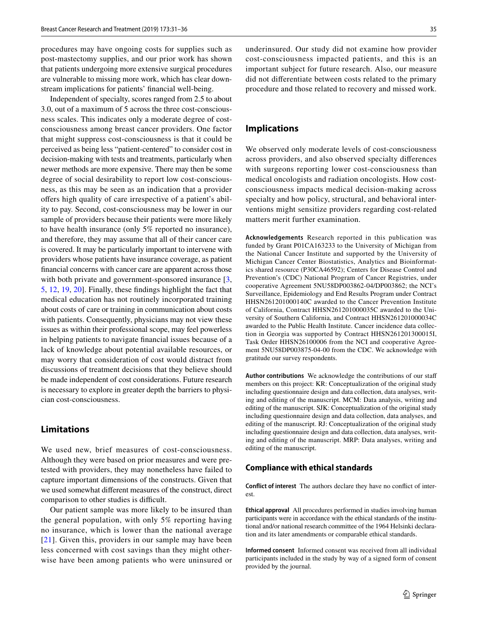procedures may have ongoing costs for supplies such as post-mastectomy supplies, and our prior work has shown that patients undergoing more extensive surgical procedures are vulnerable to missing more work, which has clear downstream implications for patients' financial well-being.

Independent of specialty, scores ranged from 2.5 to about 3.0, out of a maximum of 5 across the three cost-consciousness scales. This indicates only a moderate degree of costconsciousness among breast cancer providers. One factor that might suppress cost-consciousness is that it could be perceived as being less "patient-centered" to consider cost in decision-making with tests and treatments, particularly when newer methods are more expensive. There may then be some degree of social desirability to report low cost-consciousness, as this may be seen as an indication that a provider offers high quality of care irrespective of a patient's ability to pay. Second, cost-consciousness may be lower in our sample of providers because their patients were more likely to have health insurance (only 5% reported no insurance), and therefore, they may assume that all of their cancer care is covered. It may be particularly important to intervene with providers whose patients have insurance coverage, as patient financial concerns with cancer care are apparent across those with both private and government-sponsored insurance [[3,](#page-5-14) [5](#page-5-15), [12](#page-5-12), [19,](#page-5-13) [20\]](#page-5-16). Finally, these findings highlight the fact that medical education has not routinely incorporated training about costs of care or training in communication about costs with patients. Consequently, physicians may not view these issues as within their professional scope, may feel powerless in helping patients to navigate financial issues because of a lack of knowledge about potential available resources, or may worry that consideration of cost would distract from discussions of treatment decisions that they believe should be made independent of cost considerations. Future research is necessary to explore in greater depth the barriers to physician cost-consciousness.

## **Limitations**

We used new, brief measures of cost-consciousness. Although they were based on prior measures and were pretested with providers, they may nonetheless have failed to capture important dimensions of the constructs. Given that we used somewhat different measures of the construct, direct comparison to other studies is difficult.

Our patient sample was more likely to be insured than the general population, with only 5% reporting having no insurance, which is lower than the national average [[21](#page-5-17)]. Given this, providers in our sample may have been less concerned with cost savings than they might otherwise have been among patients who were uninsured or underinsured. Our study did not examine how provider cost-consciousness impacted patients, and this is an important subject for future research. Also, our measure did not differentiate between costs related to the primary procedure and those related to recovery and missed work.

## **Implications**

We observed only moderate levels of cost-consciousness across providers, and also observed specialty differences with surgeons reporting lower cost-consciousness than medical oncologists and radiation oncologists. How costconsciousness impacts medical decision-making across specialty and how policy, structural, and behavioral interventions might sensitize providers regarding cost-related matters merit further examination.

**Acknowledgements** Research reported in this publication was funded by Grant P01CA163233 to the University of Michigan from the National Cancer Institute and supported by the University of Michigan Cancer Center Biostatistics, Analytics and Bioinformatics shared resource (P30CA46592); Centers for Disease Control and Prevention's (CDC) National Program of Cancer Registries, under cooperative Agreement 5NU58DP003862-04/DP003862; the NCI's Surveillance, Epidemiology and End Results Program under Contract HHSN261201000140C awarded to the Cancer Prevention Institute of California, Contract HHSN261201000035C awarded to the University of Southern California, and Contract HHSN261201000034C awarded to the Public Health Institute. Cancer incidence data collection in Georgia was supported by Contract HHSN261201300015I, Task Order HHSN26100006 from the NCI and cooperative Agreement 5NU58DP003875-04-00 from the CDC. We acknowledge with gratitude our survey respondents.

**Author contributions** We acknowledge the contributions of our staff members on this project: KR: Conceptualization of the original study including questionnaire design and data collection, data analyses, writing and editing of the manuscript. MCM: Data analysis, writing and editing of the manuscript. SJK: Conceptualization of the original study including questionnaire design and data collection, data analyses, and editing of the manuscript. RJ: Conceptualization of the original study including questionnaire design and data collection, data analyses, writing and editing of the manuscript. MRP: Data analyses, writing and editing of the manuscript.

#### **Compliance with ethical standards**

**Conflict of interest** The authors declare they have no conflict of interest.

**Ethical approval** All procedures performed in studies involving human participants were in accordance with the ethical standards of the institutional and/or national research committee of the 1964 Helsinki declaration and its later amendments or comparable ethical standards.

**Informed consent** Informed consent was received from all individual participants included in the study by way of a signed form of consent provided by the journal.